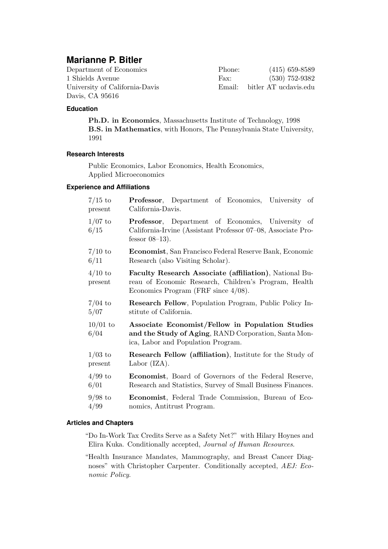# **Marianne P. Bitler**

| Department of Economics        | Phone: | $(415)$ 659-8589             |
|--------------------------------|--------|------------------------------|
| 1 Shields Avenue               | Fax:   | $(530)$ 752-9382             |
| University of California-Davis |        | Email: bitler AT ucdavis.edu |
| Davis, CA 95616                |        |                              |

# **Education**

Ph.D. in Economics, Massachusetts Institute of Technology, 1998 B.S. in Mathematics, with Honors, The Pennsylvania State University, 1991

# **Research Interests**

Public Economics, Labor Economics, Health Economics, Applied Microeconomics

# **Experience and Affiliations**

| $7/15$ to            | <b>Professor</b> , Department of Economics, University of                                                                                                 |  |  |
|----------------------|-----------------------------------------------------------------------------------------------------------------------------------------------------------|--|--|
| present              | California-Davis.                                                                                                                                         |  |  |
| $1/07$ to<br>6/15    | <b>Professor</b> , Department of Economics, University of<br>California-Irvine (Assistant Professor 07-08, Associate Pro-<br>fessor $08-13$ ).            |  |  |
| $7/10$ to            | <b>Economist</b> , San Francisco Federal Reserve Bank, Economic                                                                                           |  |  |
| 6/11                 | Research (also Visiting Scholar).                                                                                                                         |  |  |
| $4/10$ to<br>present | Faculty Research Associate (affiliation), National Bu-<br>reau of Economic Research, Children's Program, Health<br>Economics Program (FRF since $4/08$ ). |  |  |
| $7/04$ to            | <b>Research Fellow</b> , Population Program, Public Policy In-                                                                                            |  |  |
| 5/07                 | stitute of California.                                                                                                                                    |  |  |
| $10/01$ to<br>6/04   | Associate Economist/Fellow in Population Studies<br>and the Study of Aging, RAND Corporation, Santa Mon-<br>ica, Labor and Population Program.            |  |  |
| $1/03$ to            | <b>Research Fellow (affiliation)</b> , Institute for the Study of                                                                                         |  |  |
| present              | Labor $(IZA)$ .                                                                                                                                           |  |  |
| $4/99$ to            | <b>Economist</b> , Board of Governors of the Federal Reserve,                                                                                             |  |  |
| 6/01                 | Research and Statistics, Survey of Small Business Finances.                                                                                               |  |  |
| $9/98$ to            | Economist, Federal Trade Commission, Bureau of Eco-                                                                                                       |  |  |
| 4/99                 | nomics, Antitrust Program.                                                                                                                                |  |  |

#### **Articles and Chapters**

"Do In-Work Tax Credits Serve as a Safety Net?" with Hilary Hoynes and Elira Kuka. Conditionally accepted, Journal of Human Resources.

"Health Insurance Mandates, Mammography, and Breast Cancer Diagnoses" with Christopher Carpenter. Conditionally accepted, AEJ: Economic Policy.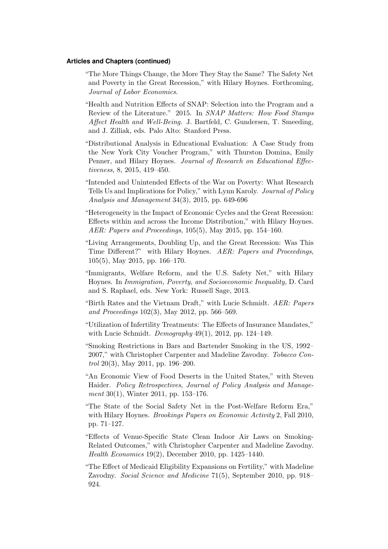#### **Articles and Chapters (continued)**

- "The More Things Change, the More They Stay the Same? The Safety Net and Poverty in the Great Recession," with Hilary Hoynes. Forthcoming, Journal of Labor Economics.
- "Health and Nutrition Effects of SNAP: Selection into the Program and a Review of the Literature." 2015. In SNAP Matters: How Food Stamps Affect Health and Well-Being. J. Bartfeld, C. Gundersen, T. Smeeding, and J. Zilliak, eds. Palo Alto: Stanford Press.
- "Distributional Analysis in Educational Evaluation: A Case Study from the New York City Voucher Program," with Thurston Domina, Emily Penner, and Hilary Hoynes. Journal of Research on Educational Effectiveness, 8, 2015, 419–450.
- "Intended and Unintended Effects of the War on Poverty: What Research Tells Us and Implications for Policy," with Lynn Karoly. Journal of Policy Analysis and Management 34(3), 2015, pp. 649-696
- "Heterogeneity in the Impact of Economic Cycles and the Great Recession: Effects within and across the Income Distribution," with Hilary Hoynes. AER: Papers and Proceedings, 105(5), May 2015, pp. 154–160.
- "Living Arrangements, Doubling Up, and the Great Recession: Was This Time Different?" with Hilary Hoynes. AER: Papers and Proceedings, 105(5), May 2015, pp. 166–170.
- "Immigrants, Welfare Reform, and the U.S. Safety Net," with Hilary Hoynes. In Immigration, Poverty, and Socioeconomic Inequality, D. Card and S. Raphael, eds. New York: Russell Sage, 2013.
- "Birth Rates and the Vietnam Draft," with Lucie Schmidt. AER: Papers and Proceedings 102(3), May 2012, pp. 566–569.
- "Utilization of Infertility Treatments: The Effects of Insurance Mandates," with Lucie Schmidt. Demography  $49(1)$ ,  $2012$ , pp. 124–149.
- "Smoking Restrictions in Bars and Bartender Smoking in the US, 1992– 2007," with Christopher Carpenter and Madeline Zavodny. Tobacco Con*trol* 20(3), May 2011, pp. 196–200.
- "An Economic View of Food Deserts in the United States," with Steven Haider. Policy Retrospectives, Journal of Policy Analysis and Management 30(1), Winter 2011, pp. 153–176.
- "The State of the Social Safety Net in the Post-Welfare Reform Era," with Hilary Hoynes. *Brookings Papers on Economic Activity* 2, Fall 2010, pp. 71–127.
- "Effects of Venue-Specific State Clean Indoor Air Laws on Smoking-Related Outcomes," with Christopher Carpenter and Madeline Zavodny. Health Economics 19(2), December 2010, pp. 1425–1440.
- "The Effect of Medicaid Eligibility Expansions on Fertility," with Madeline Zavodny. Social Science and Medicine 71(5), September 2010, pp. 918– 924.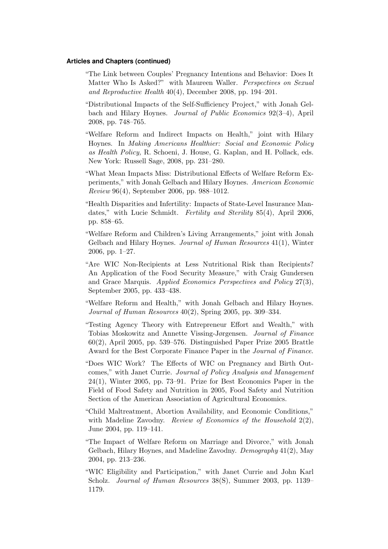#### **Articles and Chapters (continued)**

- "The Link between Couples' Pregnancy Intentions and Behavior: Does It Matter Who Is Asked?" with Maureen Waller. Perspectives on Sexual and Reproductive Health 40(4), December 2008, pp. 194–201.
- "Distributional Impacts of the Self-Sufficiency Project," with Jonah Gelbach and Hilary Hoynes. Journal of Public Economics 92(3–4), April 2008, pp. 748–765.
- "Welfare Reform and Indirect Impacts on Health," joint with Hilary Hoynes. In Making Americans Healthier: Social and Economic Policy as Health Policy, R. Schoeni, J. House, G. Kaplan, and H. Pollack, eds. New York: Russell Sage, 2008, pp. 231–280.
- "What Mean Impacts Miss: Distributional Effects of Welfare Reform Experiments," with Jonah Gelbach and Hilary Hoynes. American Economic Review 96(4), September 2006, pp. 988–1012.
- "Health Disparities and Infertility: Impacts of State-Level Insurance Mandates," with Lucie Schmidt. *Fertility and Sterility* 85(4), April 2006, pp. 858–65.
- "Welfare Reform and Children's Living Arrangements," joint with Jonah Gelbach and Hilary Hoynes. Journal of Human Resources 41(1), Winter 2006, pp. 1–27.
- "Are WIC Non-Recipients at Less Nutritional Risk than Recipients? An Application of the Food Security Measure," with Craig Gundersen and Grace Marquis. Applied Economics Perspectives and Policy 27(3), September 2005, pp. 433–438.
- "Welfare Reform and Health," with Jonah Gelbach and Hilary Hoynes. Journal of Human Resources 40(2), Spring 2005, pp. 309–334.
- "Testing Agency Theory with Entrepreneur Effort and Wealth," with Tobias Moskowitz and Annette Vissing-Jørgensen. Journal of Finance 60(2), April 2005, pp. 539–576. Distinguished Paper Prize 2005 Brattle Award for the Best Corporate Finance Paper in the Journal of Finance.
- "Does WIC Work? The Effects of WIC on Pregnancy and Birth Outcomes," with Janet Currie. Journal of Policy Analysis and Management 24(1), Winter 2005, pp. 73–91. Prize for Best Economics Paper in the Field of Food Safety and Nutrition in 2005, Food Safety and Nutrition Section of the American Association of Agricultural Economics.
- "Child Maltreatment, Abortion Availability, and Economic Conditions," with Madeline Zavodny. Review of Economics of the Household 2(2), June 2004, pp. 119–141.
- "The Impact of Welfare Reform on Marriage and Divorce," with Jonah Gelbach, Hilary Hoynes, and Madeline Zavodny. Demography 41(2), May 2004, pp. 213–236.
- "WIC Eligibility and Participation," with Janet Currie and John Karl Scholz. Journal of Human Resources 38(S), Summer 2003, pp. 1139– 1179.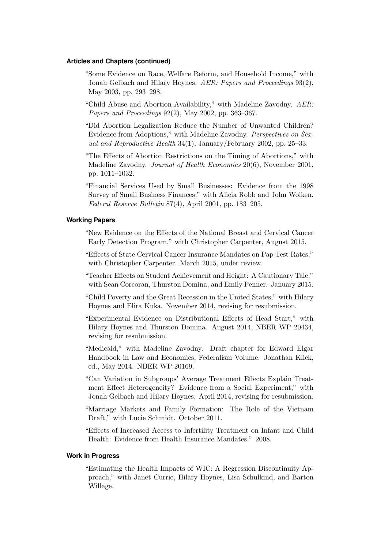#### **Articles and Chapters (continued)**

- "Some Evidence on Race, Welfare Reform, and Household Income," with Jonah Gelbach and Hilary Hoynes. AER: Papers and Proceedings 93(2), May 2003, pp. 293–298.
- "Child Abuse and Abortion Availability," with Madeline Zavodny. AER: Papers and Proceedings 92(2), May 2002, pp. 363–367.
- "Did Abortion Legalization Reduce the Number of Unwanted Children? Evidence from Adoptions," with Madeline Zavodny. Perspectives on Sexual and Reproductive Health 34(1), January/February 2002, pp. 25–33.
- "The Effects of Abortion Restrictions on the Timing of Abortions," with Madeline Zavodny. Journal of Health Economics 20(6), November 2001, pp. 1011–1032.
- "Financial Services Used by Small Businesses: Evidence from the 1998 Survey of Small Business Finances," with Alicia Robb and John Wolken. Federal Reserve Bulletin 87(4), April 2001, pp. 183–205.

### **Working Papers**

- "New Evidence on the Effects of the National Breast and Cervical Cancer Early Detection Program," with Christopher Carpenter, August 2015.
- "Effects of State Cervical Cancer Insurance Mandates on Pap Test Rates," with Christopher Carpenter. March 2015, under review.
- "Teacher Effects on Student Achievement and Height: A Cautionary Tale," with Sean Corcoran, Thurston Domina, and Emily Penner. January 2015.
- "Child Poverty and the Great Recession in the United States," with Hilary Hoynes and Elira Kuka. November 2014, revising for resubmission.
- "Experimental Evidence on Distributional Effects of Head Start," with Hilary Hoynes and Thurston Domina. August 2014, NBER WP 20434, revising for resubmission.
- "Medicaid," with Madeline Zavodny. Draft chapter for Edward Elgar Handbook in Law and Economics, Federalism Volume. Jonathan Klick, ed., May 2014. NBER WP 20169.
- "Can Variation in Subgroups' Average Treatment Effects Explain Treatment Effect Heterogeneity? Evidence from a Social Experiment," with Jonah Gelbach and Hilary Hoynes. April 2014, revising for resubmission.
- "Marriage Markets and Family Formation: The Role of the Vietnam Draft," with Lucie Schmidt. October 2011.
- "Effects of Increased Access to Infertility Treatment on Infant and Child Health: Evidence from Health Insurance Mandates." 2008.

#### **Work in Progress**

"Estimating the Health Impacts of WIC: A Regression Discontinuity Approach," with Janet Currie, Hilary Hoynes, Lisa Schulkind, and Barton Willage.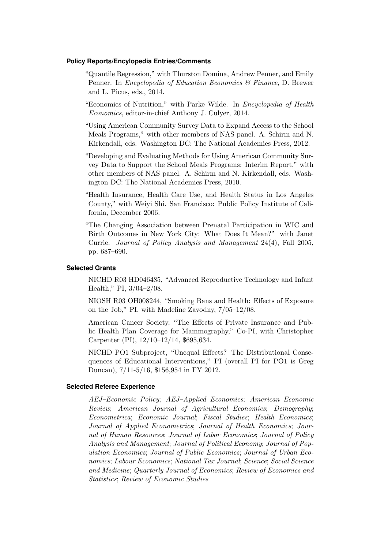#### **Policy Reports/Encylopedia Entries/Comments**

- "Quantile Regression," with Thurston Domina, Andrew Penner, and Emily Penner. In *Encyclopedia of Education Economics & Finance*, D. Brewer and L. Picus, eds., 2014.
- "Economics of Nutrition," with Parke Wilde. In Encyclopedia of Health Economics, editor-in-chief Anthony J. Culyer, 2014.
- "Using American Community Survey Data to Expand Access to the School Meals Programs," with other members of NAS panel. A. Schirm and N. Kirkendall, eds. Washington DC: The National Academies Press, 2012.
- "Developing and Evaluating Methods for Using American Community Survey Data to Support the School Meals Programs: Interim Report," with other members of NAS panel. A. Schirm and N. Kirkendall, eds. Washington DC: The National Academies Press, 2010.
- "Health Insurance, Health Care Use, and Health Status in Los Angeles County," with Weiyi Shi. San Francisco: Public Policy Institute of California, December 2006.
- "The Changing Association between Prenatal Participation in WIC and Birth Outcomes in New York City: What Does It Mean?" with Janet Currie. Journal of Policy Analysis and Management 24(4), Fall 2005, pp. 687–690.

#### **Selected Grants**

NICHD R03 HD046485, "Advanced Reproductive Technology and Infant Health," PI, 3/04–2/08.

NIOSH R03 OH008244, "Smoking Bans and Health: Effects of Exposure on the Job," PI, with Madeline Zavodny, 7/05–12/08.

American Cancer Society, "The Effects of Private Insurance and Public Health Plan Coverage for Mammography," Co-PI, with Christopher Carpenter (PI), 12/10–12/14, \$695,634.

NICHD PO1 Subproject, "Unequal Effects? The Distributional Consequences of Educational Interventions," PI (overall PI for PO1 is Greg Duncan), 7/11-5/16, \$156,954 in FY 2012.

#### **Selected Referee Experience**

AEJ–Economic Policy; AEJ–Applied Economics; American Economic Review; American Journal of Agricultural Economics; Demography; Econometrica; Economic Journal; Fiscal Studies; Health Economics; Journal of Applied Econometrics; Journal of Health Economics; Journal of Human Resources; Journal of Labor Economics; Journal of Policy Analysis and Management; Journal of Political Economy; Journal of Population Economics; Journal of Public Economics; Journal of Urban Economics; Labour Economics; National Tax Journal; Science; Social Science and Medicine; Quarterly Journal of Economics; Review of Economics and Statistics; Review of Economic Studies